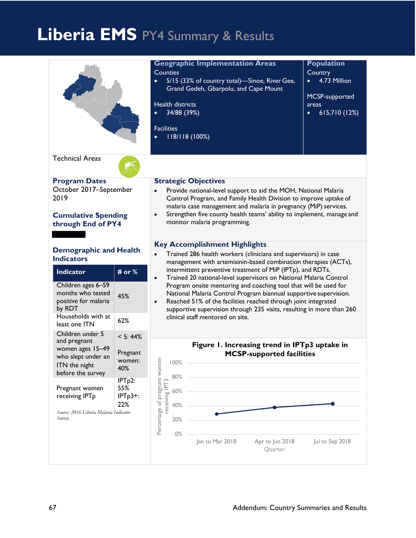# **Liberia EMS** PY4 Summary & Results

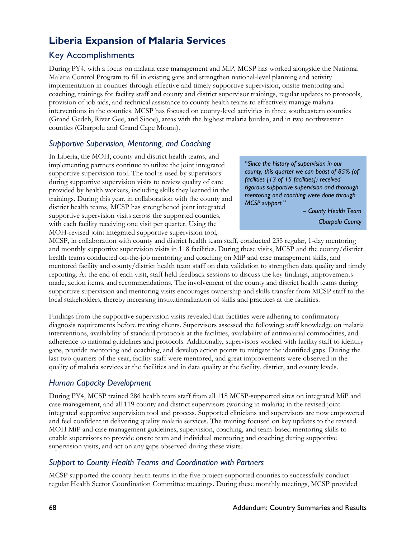# **Liberia Expansion of Malaria Services**

# Key Accomplishments

During PY4, with a focus on malaria case management and MiP, MCSP has worked alongside the National Malaria Control Program to fill in existing gaps and strengthen national-level planning and activity implementation in counties through effective and timely supportive supervision, onsite mentoring and coaching, trainings for facility staff and county and district supervisor trainings, regular updates to protocols, provision of job aids, and technical assistance to county health teams to effectively manage malaria interventions in the counties. MCSP has focused on county-level activities in three southeastern counties (Grand Gedeh, River Gee, and Sinoe), areas with the highest malaria burden, and in two northwestern counties (Gbarpolu and Grand Cape Mount).

#### *Supportive Supervision, Mentoring, and Coaching*

In Liberia, the MOH, county and district health teams, and implementing partners continue to utilize the joint integrated supportive supervision tool. The tool is used by supervisors during supportive supervision visits to review quality of care provided by health workers, including skills they learned in the trainings. During this year, in collaboration with the county and district health teams, MCSP has strengthened joint integrated supportive supervision visits across the supported counties, with each facility receiving one visit per quarter. Using the MOH-revised joint integrated supportive supervision tool,

"*Since the history of supervision in our county, this quarter we can boast of 85% (of facilities [13 of 15 facilities]) received rigorous supportive supervision and thorough mentoring and coaching were done through MCSP support."*

> *– County Health Team Gbarpolu County*

MCSP, in collaboration with county and district health team staff, conducted 235 regular, 1-day mentoring and monthly supportive supervision visits in 118 facilities. During these visits, MCSP and the county/district health teams conducted on-the-job mentoring and coaching on MiP and case management skills, and mentored facility and county/district health team staff on data validation to strengthen data quality and timely reporting. At the end of each visit, staff held feedback sessions to discuss the key findings, improvements made, action items, and recommendations. The involvement of the county and district health teams during supportive supervision and mentoring visits encourages ownership and skills transfer from MCSP staff to the local stakeholders, thereby increasing institutionalization of skills and practices at the facilities.

Findings from the supportive supervision visits revealed that facilities were adhering to confirmatory diagnosis requirements before treating clients. Supervisors assessed the following: staff knowledge on malaria interventions, availability of standard protocols at the facilities, availability of antimalarial commodities, and adherence to national guidelines and protocols. Additionally, supervisors worked with facility staff to identify gaps, provide mentoring and coaching, and develop action points to mitigate the identified gaps. During the last two quarters of the year, facility staff were mentored, and great improvements were observed in the quality of malaria services at the facilities and in data quality at the facility, district, and county levels.

#### *Human Capacity Development*

During PY4, MCSP trained 286 health team staff from all 118 MCSP-supported sites on integrated MiP and case management, and all 119 county and district supervisors (working in malaria) in the revised joint integrated supportive supervision tool and process. Supported clinicians and supervisors are now empowered and feel confident in delivering quality malaria services. The training focused on key updates to the revised MOH MiP and case management guidelines, supervision, coaching, and team-based mentoring skills to enable supervisors to provide onsite team and individual mentoring and coaching during supportive supervision visits, and act on any gaps observed during these visits.

# *Support to County Health Teams and Coordination with Partners*

MCSP supported the county health teams in the five project-supported counties to successfully conduct regular Health Sector Coordination Committee meetings. During these monthly meetings, MCSP provided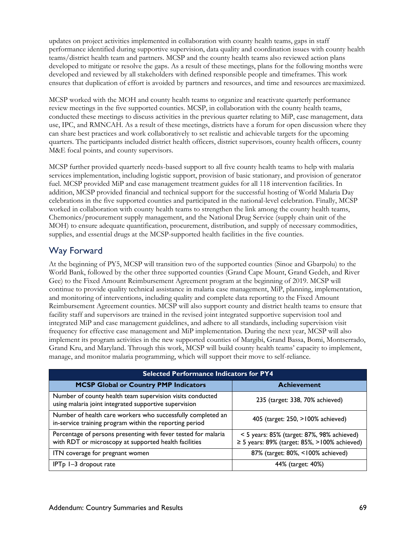updates on project activities implemented in collaboration with county health teams, gaps in staff performance identified during supportive supervision, data quality and coordination issues with county health teams/district health team and partners. MCSP and the county health teams also reviewed action plans developed to mitigate or resolve the gaps. As a result of these meetings, plans for the following months were developed and reviewed by all stakeholders with defined responsible people and timeframes. This work ensures that duplication of effort is avoided by partners and resources, and time and resources aremaximized.

MCSP worked with the MOH and county health teams to organize and reactivate quarterly performance review meetings in the five supported counties. MCSP, in collaboration with the county health teams, conducted these meetings to discuss activities in the previous quarter relating to MiP, case management, data use, IPC, and RMNCAH. As a result of these meetings, districts have a forum for open discussion where they can share best practices and work collaboratively to set realistic and achievable targets for the upcoming quarters. The participants included district health officers, district supervisors, county health officers, county M&E focal points, and county supervisors.

MCSP further provided quarterly needs-based support to all five county health teams to help with malaria services implementation, including logistic support, provision of basic stationary, and provision of generator fuel. MCSP provided MiP and case management treatment guides for all 118 intervention facilities. In addition, MCSP provided financial and technical support for the successful hosting of World Malaria Day celebrations in the five supported counties and participated in the national-level celebration. Finally, MCSP worked in collaboration with county health teams to strengthen the link among the county health teams, Chemonics/procurement supply management, and the National Drug Service (supply chain unit of the MOH) to ensure adequate quantification, procurement, distribution, and supply of necessary commodities, supplies, and essential drugs at the MCSP-supported health facilities in the five counties.

# Way Forward

At the beginning of PY5, MCSP will transition two of the supported counties (Sinoe and Gbarpolu) to the World Bank, followed by the other three supported counties (Grand Cape Mount, Grand Gedeh, and River Gee) to the Fixed Amount Reimbursement Agreement program at the beginning of 2019. MCSP will continue to provide quality technical assistance in malaria case management, MiP, planning, implementation, and monitoring of interventions, including quality and complete data reporting to the Fixed Amount Reimbursement Agreement counties. MCSP will also support county and district health teams to ensure that facility staff and supervisors are trained in the revised joint integrated supportive supervision tool and integrated MiP and case management guidelines, and adhere to all standards, including supervision visit frequency for effective case management and MiP implementation. During the next year, MCSP will also implement its program activities in the new supported counties of Margibi, Grand Bassa, Bomi, Montserrado, Grand Kru, and Maryland. Through this work, MCSP will build county health teams' capacity to implement, manage, and monitor malaria programming, which will support their move to self-reliance.

| <b>Selected Performance Indicators for PY4</b>                                                                          |                                                                                                      |  |  |
|-------------------------------------------------------------------------------------------------------------------------|------------------------------------------------------------------------------------------------------|--|--|
| <b>MCSP Global or Country PMP Indicators</b>                                                                            | <b>Achievement</b>                                                                                   |  |  |
| Number of county health team supervision visits conducted<br>using malaria joint integrated supportive supervision      | 235 (target: 338, 70% achieved)                                                                      |  |  |
| Number of health care workers who successfully completed an<br>in-service training program within the reporting period  | 405 (target: 250, >100% achieved)                                                                    |  |  |
| Percentage of persons presenting with fever tested for malaria<br>with RDT or microscopy at supported health facilities | $<$ 5 years: 85% (target: 87%, 98% achieved)<br>$\geq$ 5 years: 89% (target: 85%, $>$ 100% achieved) |  |  |
| ITN coverage for pregnant women                                                                                         | 87% (target: 80%, <100% achieved)                                                                    |  |  |
| $IPTp I-3 dropout rate$                                                                                                 | 44% (target: 40%)                                                                                    |  |  |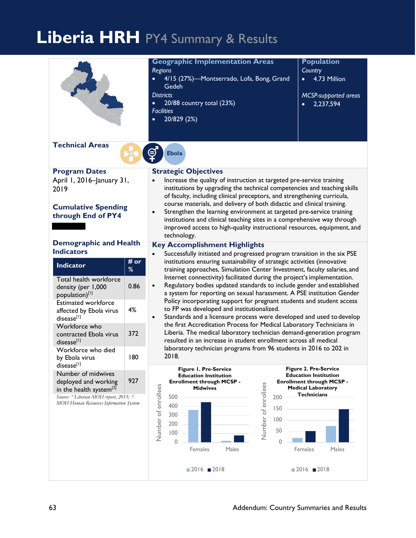# **Liberia HRH** PY4 Summary & Results

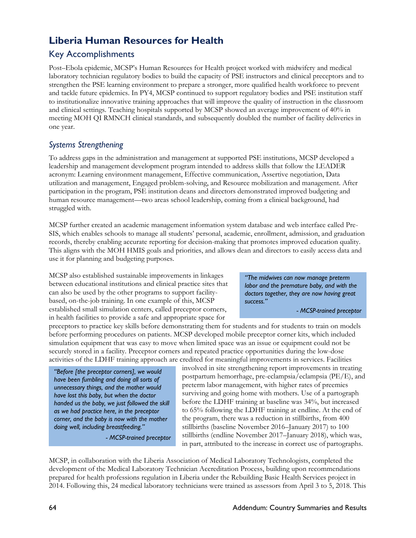# **Liberia Human Resources for Health**

# Key Accomplishments

Post–Ebola epidemic, MCSP's Human Resources for Health project worked with midwifery and medical laboratory technician regulatory bodies to build the capacity of PSE instructors and clinical preceptors and to strengthen the PSE learning environment to prepare a stronger, more qualified health workforce to prevent and tackle future epidemics. In PY4, MCSP continued to support regulatory bodies and PSE institution staff to institutionalize innovative training approaches that will improve the quality of instruction in the classroom and clinical settings. Teaching hospitals supported by MCSP showed an average improvement of 40% in meeting MOH QI RMNCH clinical standards, and subsequently doubled the number of facility deliveries in one year.

# *Systems Strengthening*

To address gaps in the administration and management at supported PSE institutions, MCSP developed a leadership and management development program intended to address skills that follow the LEADER acronym: Learning environment management, Effective communication, Assertive negotiation, Data utilization and management, Engaged problem-solving, and Resource mobilization and management. After participation in the program, PSE institution deans and directors demonstrated improved budgeting and human resource management—two areas school leadership, coming from a clinical background, had struggled with.

MCSP further created an academic management information system database and web interface called Pre-SIS, which enables schools to manage all students' personal, academic, enrollment, admission, and graduation records, thereby enabling accurate reporting for decision-making that promotes improved education quality. This aligns with the MOH HMIS goals and priorities, and allows dean and directors to easily access data and use it for planning and budgeting purposes.

MCSP also established sustainable improvements in linkages between educational institutions and clinical practice sites that can also be used by the other programs to support facilitybased, on-the-job training. In one example of this, MCSP established small simulation centers, called preceptor corners, in health facilities to provide a safe and appropriate space for

*"The midwives can now manage preterm labor and the premature baby, and with the doctors together, they are now having great success."*

*- MCSP-trained preceptor*

preceptors to practice key skills before demonstrating them for students and for students to train on models before performing procedures on patients. MCSP developed mobile preceptor corner kits, which included simulation equipment that was easy to move when limited space was an issue or equipment could not be securely stored in a facility. Preceptor corners and repeated practice opportunities during the low-dose activities of the LDHF training approach are credited for meaningful improvements in services. Facilities

*"Before [the preceptor corners], we would have been fumbling and doing all sorts of unnecessary things, and the mother would have lost this baby, but when the doctor handed us the baby, we just followed the skill as we had practice here, in the preceptor corner, and the baby is now with the mother doing well, including breastfeeding."*

*- MCSP-trained preceptor*

involved in site strengthening report improvements in treating postpartum hemorrhage, pre-eclampsia/eclampsia (PE/E), and preterm labor management, with higher rates of preemies surviving and going home with mothers. Use of a partograph before the LDHF training at baseline was 34%, but increased to 65% following the LDHF training at endline. At the end of the program, there was a reduction in stillbirths, from 400 stillbirths (baseline November 2016–January 2017) to 100 stillbirths (endline November 2017–January 2018), which was, in part, attributed to the increase in correct use of partographs.

MCSP, in collaboration with the Liberia Association of Medical Laboratory Technologists, completed the development of the Medical Laboratory Technician Accreditation Process, building upon recommendations prepared for health professions regulation in Liberia under the Rebuilding Basic Health Services project in 2014. Following this, 24 medical laboratory technicians were trained as assessors from April 3 to 5, 2018. This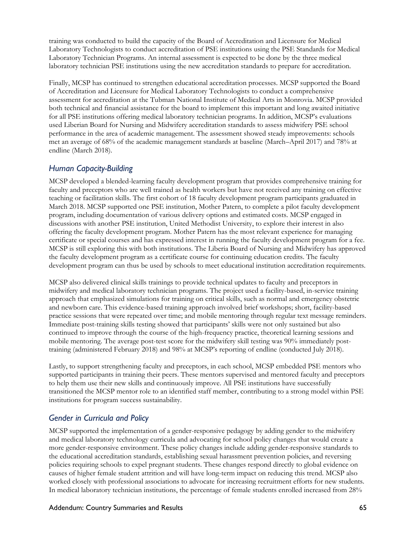training was conducted to build the capacity of the Board of Accreditation and Licensure for Medical Laboratory Technologists to conduct accreditation of PSE institutions using the PSE Standards for Medical Laboratory Technician Programs. An internal assessment is expected to be done by the three medical laboratory technician PSE institutions using the new accreditation standards to prepare for accreditation.

Finally, MCSP has continued to strengthen educational accreditation processes. MCSP supported the Board of Accreditation and Licensure for Medical Laboratory Technologists to conduct a comprehensive assessment for accreditation at the Tubman National Institute of Medical Arts in Monrovia. MCSP provided both technical and financial assistance for the board to implement this important and long awaited initiative for all PSE institutions offering medical laboratory technician programs. In addition, MCSP's evaluations used Liberian Board for Nursing and Midwifery accreditation standards to assess midwifery PSE school performance in the area of academic management. The assessment showed steady improvements: schools met an average of 68% of the academic management standards at baseline (March–April 2017) and 78% at endline (March 2018).

#### *Human Capacity-Building*

MCSP developed a blended-learning faculty development program that provides comprehensive training for faculty and preceptors who are well trained as health workers but have not received any training on effective teaching or facilitation skills. The first cohort of 18 faculty development program participants graduated in March 2018. MCSP supported one PSE institution, Mother Patern, to complete a pilot faculty development program, including documentation of various delivery options and estimated costs. MCSP engaged in discussions with another PSE institution, United Methodist University, to explore their interest in also offering the faculty development program. Mother Patern has the most relevant experience for managing certificate or special courses and has expressed interest in running the faculty development program for a fee. MCSP is still exploring this with both institutions. The Liberia Board of Nursing and Midwifery has approved the faculty development program as a certificate course for continuing education credits. The faculty development program can thus be used by schools to meet educational institution accreditation requirements.

MCSP also delivered clinical skills trainings to provide technical updates to faculty and preceptors in midwifery and medical laboratory technician programs. The project used a facility-based, in-service training approach that emphasized simulations for training on critical skills, such as normal and emergency obstetric and newborn care. This evidence-based training approach involved brief workshops; short, facility-based practice sessions that were repeated over time; and mobile mentoring through regular text message reminders. Immediate post-training skills testing showed that participants' skills were not only sustained but also continued to improve through the course of the high-frequency practice, theoretical learning sessions and mobile mentoring. The average post-test score for the midwifery skill testing was 90% immediately posttraining (administered February 2018) and 98% at MCSP's reporting of endline (conducted July 2018).

Lastly, to support strengthening faculty and preceptors, in each school, MCSP embedded PSE mentors who supported participants in training their peers. These mentors supervised and mentored faculty and preceptors to help them use their new skills and continuously improve. All PSE institutions have successfully transitioned the MCSP mentor role to an identified staff member, contributing to a strong model within PSE institutions for program success sustainability.

#### *Gender in Curricula and Policy*

MCSP supported the implementation of a gender-responsive pedagogy by adding gender to the midwifery and medical laboratory technology curricula and advocating for school policy changes that would create a more gender-responsive environment. These policy changes include adding gender-responsive standards to the educational accreditation standards, establishing sexual harassment prevention policies, and reversing policies requiring schools to expel pregnant students. These changes respond directly to global evidence on causes of higher female student attrition and will have long-term impact on reducing this trend. MCSP also worked closely with professional associations to advocate for increasing recruitment efforts for new students. In medical laboratory technician institutions, the percentage of female students enrolled increased from 28%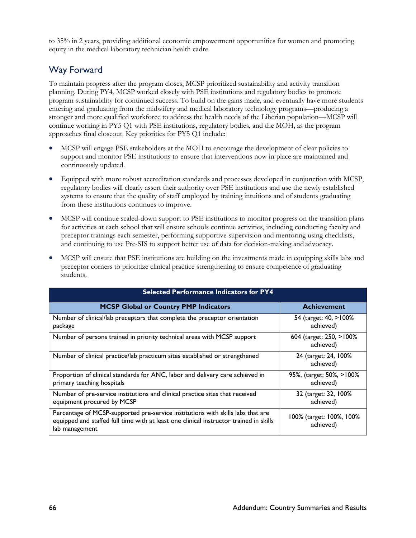to 35% in 2 years, providing additional economic empowerment opportunities for women and promoting equity in the medical laboratory technician health cadre.

# Way Forward

To maintain progress after the program closes, MCSP prioritized sustainability and activity transition planning. During PY4, MCSP worked closely with PSE institutions and regulatory bodies to promote program sustainability for continued success. To build on the gains made, and eventually have more students entering and graduating from the midwifery and medical laboratory technology programs—producing a stronger and more qualified workforce to address the health needs of the Liberian population—MCSP will continue working in PY5 Q1 with PSE institutions, regulatory bodies, and the MOH, as the program approaches final closeout. Key priorities for PY5 Q1 include:

- MCSP will engage PSE stakeholders at the MOH to encourage the development of clear policies to support and monitor PSE institutions to ensure that interventions now in place are maintained and continuously updated.
- Equipped with more robust accreditation standards and processes developed in conjunction with MCSP, regulatory bodies will clearly assert their authority over PSE institutions and use the newly established systems to ensure that the quality of staff employed by training intuitions and of students graduating from these institutions continues to improve.
- MCSP will continue scaled-down support to PSE institutions to monitor progress on the transition plans for activities at each school that will ensure schools continue activities, including conducting faculty and preceptor trainings each semester, performing supportive supervision and mentoring using checklists, and continuing to use Pre-SIS to support better use of data for decision-making and advocacy.
- MCSP will ensure that PSE institutions are building on the investments made in equipping skills labs and preceptor corners to prioritize clinical practice strengthening to ensure competence of graduating students.

| <b>Selected Performance Indicators for PY4</b>                                                                                                                                              |                                       |  |  |
|---------------------------------------------------------------------------------------------------------------------------------------------------------------------------------------------|---------------------------------------|--|--|
| <b>MCSP Global or Country PMP Indicators</b>                                                                                                                                                | <b>Achievement</b>                    |  |  |
| Number of clinical/lab preceptors that complete the preceptor orientation<br>package                                                                                                        | 54 (target: 40, >100%<br>achieved)    |  |  |
| Number of persons trained in priority technical areas with MCSP support                                                                                                                     | 604 (target: 250, >100%<br>achieved)  |  |  |
| Number of clinical practice/lab practicum sites established or strengthened                                                                                                                 | 24 (target: 24, 100%<br>achieved)     |  |  |
| Proportion of clinical standards for ANC, labor and delivery care achieved in<br>primary teaching hospitals                                                                                 | 95%, (target: 50%, >100%<br>achieved) |  |  |
| Number of pre-service institutions and clinical practice sites that received<br>equipment procured by MCSP                                                                                  | 32 (target: 32, 100%<br>achieved)     |  |  |
| Percentage of MCSP-supported pre-service institutions with skills labs that are<br>equipped and staffed full time with at least one clinical instructor trained in skills<br>lab management | 100% (target: 100%, 100%<br>achieved) |  |  |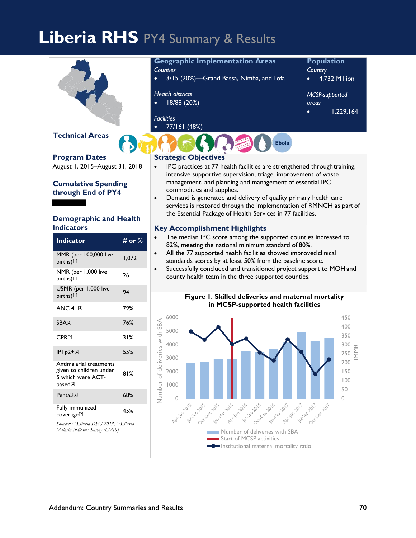# **Liberia RHS** PY4 Summary & Results

|                                                    |        | <b>Geographic Implementation Areas</b>                                                                                                 | <b>Population</b>       |
|----------------------------------------------------|--------|----------------------------------------------------------------------------------------------------------------------------------------|-------------------------|
|                                                    |        | <b>Counties</b>                                                                                                                        | Country                 |
|                                                    |        | 3/15 (20%)-Grand Bassa, Nimba, and Lofa                                                                                                | 4.732 Million           |
|                                                    |        | <b>Health districts</b>                                                                                                                | MCSP-supported          |
|                                                    |        | 18/88 (20%)                                                                                                                            | areas                   |
|                                                    |        |                                                                                                                                        | 1,229,164               |
|                                                    |        | <b>Facilities</b>                                                                                                                      |                         |
| <b>Technical Areas</b>                             |        | 77/161 (48%)                                                                                                                           |                         |
|                                                    |        | <b>Ebola</b>                                                                                                                           |                         |
| <b>Program Dates</b>                               |        | <b>Strategic Objectives</b>                                                                                                            |                         |
| August 1, 2015-August 31, 2018<br>$\bullet$        |        | IPC practices at 77 health facilities are strengthened through training,                                                               |                         |
|                                                    |        | intensive supportive supervision, triage, improvement of waste<br>management, and planning and management of essential IPC             |                         |
| <b>Cumulative Spending</b><br>through End of PY4   |        | commodities and supplies.                                                                                                              |                         |
| $\bullet$                                          |        | Demand is generated and delivery of quality primary health care                                                                        |                         |
|                                                    |        | services is restored through the implementation of RMNCH as part of<br>the Essential Package of Health Services in 77 facilities.      |                         |
| <b>Demographic and Health</b>                      |        |                                                                                                                                        |                         |
| <b>Indicators</b>                                  |        | <b>Key Accomplishment Highlights</b>                                                                                                   |                         |
| <b>Indicator</b>                                   | # or % | The median IPC score among the supported counties increased to<br>82%, meeting the national minimum standard of 80%.                   |                         |
| MMR (per 100,000 live                              |        | All the 77 supported health facilities showed improved clinical<br>$\bullet$                                                           |                         |
| births)[1]                                         | 1,072  | standards scores by at least 50% from the baseline score.                                                                              |                         |
| NMR (per 1,000 live<br>births)[1]                  | 26     | Successfully concluded and transitioned project support to MOH and<br>$\bullet$<br>county health team in the three supported counties. |                         |
| U5MR (per 1,000 live                               |        |                                                                                                                                        |                         |
| births)[1]                                         | 94     | Figure 1. Skilled deliveries and maternal mortality                                                                                    |                         |
| ANC 4+[2]                                          | 79%    | in MCSP-supported health facilities                                                                                                    |                         |
| <b>SBA[2]</b>                                      | 76%    | 6000                                                                                                                                   | 450                     |
|                                                    |        | 5000                                                                                                                                   | 400<br>350              |
| CPR[2]                                             | 31%    | eries with SBA<br>4000                                                                                                                 | 300 $\alpha$            |
| $IPTp2+[2]$                                        | 55%    | 3000                                                                                                                                   | $\sum_{i=1}^{n}$<br>250 |
| Antimalarial treatments<br>given to children under |        |                                                                                                                                        | 200                     |
| 5 which were ACT-                                  | 81%    | 2000                                                                                                                                   | 150<br>100              |
| based <sup>[2]</sup>                               |        | 1000                                                                                                                                   | 50                      |
| Penta3[2]                                          | 68%    | Number of deliv<br>0                                                                                                                   | $\mathbf{0}$            |
| Fully immunized<br>coverage <sup>[2]</sup>         | 45%    | Ashim uses dub cerde part and her procedure for the party when develop                                                                 |                         |
| Sources: [1] Liberia DHS 2013, [2] Liberia         |        |                                                                                                                                        |                         |
| Malaria Indicator Survey (LMIS).                   |        | Number of deliveries with SBA<br>Start of MCSP activities                                                                              |                         |
|                                                    |        | Institutional maternal mortality ratio                                                                                                 |                         |
|                                                    |        |                                                                                                                                        |                         |
|                                                    |        |                                                                                                                                        |                         |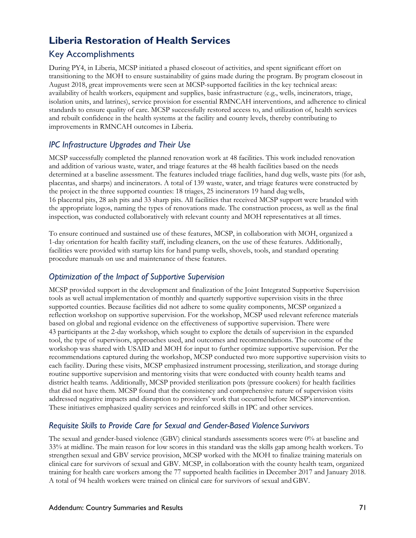# **Liberia Restoration of Health Services**

# Key Accomplishments

During PY4, in Liberia, MCSP initiated a phased closeout of activities, and spent significant effort on transitioning to the MOH to ensure sustainability of gains made during the program. By program closeout in August 2018, great improvements were seen at MCSP-supported facilities in the key technical areas: availability of health workers, equipment and supplies, basic infrastructure (e.g., wells, incinerators, triage, isolation units, and latrines), service provision for essential RMNCAH interventions, and adherence to clinical standards to ensure quality of care. MCSP successfully restored access to, and utilization of, health services and rebuilt confidence in the health systems at the facility and county levels, thereby contributing to improvements in RMNCAH outcomes in Liberia.

# *IPC Infrastructure Upgrades and Their Use*

MCSP successfully completed the planned renovation work at 48 facilities. This work included renovation and addition of various waste, water, and triage features at the 48 health facilities based on the needs determined at a baseline assessment. The features included triage facilities, hand dug wells, waste pits (for ash, placentas, and sharps) and incinerators. A total of 139 waste, water, and triage features were constructed by the project in the three supported counties: 18 triages, 25 incinerators 19 hand dug wells, 16 placental pits, 28 ash pits and 33 sharp pits. All facilities that received MCSP support were branded with the appropriate logos, naming the types of renovations made. The construction process, as well as the final inspection, was conducted collaboratively with relevant county and MOH representatives at all times.

To ensure continued and sustained use of these features, MCSP, in collaboration with MOH, organized a 1-day orientation for health facility staff, including cleaners, on the use of these features. Additionally, facilities were provided with startup kits for hand pump wells, shovels, tools, and standard operating procedure manuals on use and maintenance of these features.

# *Optimization of the Impact of Supportive Supervision*

MCSP provided support in the development and finalization of the Joint Integrated Supportive Supervision tools as well actual implementation of monthly and quarterly supportive supervision visits in the three supported counties. Because facilities did not adhere to some quality components, MCSP organized a reflection workshop on supportive supervision. For the workshop, MCSP used relevant reference materials based on global and regional evidence on the effectiveness of supportive supervision. There were 43 participants at the 2-day workshop, which sought to explore the details of supervision in the expanded tool, the type of supervisors, approaches used, and outcomes and recommendations. The outcome of the workshop was shared with USAID and MOH for input to further optimize supportive supervision. Per the recommendations captured during the workshop, MCSP conducted two more supportive supervision visits to each facility. During these visits, MCSP emphasized instrument processing, sterilization, and storage during routine supportive supervision and mentoring visits that were conducted with county health teams and district health teams. Additionally, MCSP provided sterilization pots (pressure cookers) for health facilities that did not have them. MCSP found that the consistency and comprehensive nature of supervision visits addressed negative impacts and disruption to providers' work that occurred before MCSP'sintervention. These initiatives emphasized quality services and reinforced skills in IPC and other services.

#### *Requisite Skills to Provide Care for Sexual and Gender-Based Violence Survivors*

The sexual and gender-based violence (GBV) clinical standards assessments scores were 0% at baseline and 33% at midline. The main reason for low scores in this standard was the skills gap among health workers. To strengthen sexual and GBV service provision, MCSP worked with the MOH to finalize training materials on clinical care for survivors of sexual and GBV. MCSP, in collaboration with the county health team, organized training for health care workers among the 77 supported health facilities in December 2017 and January 2018. A total of 94 health workers were trained on clinical care for survivors of sexual and GBV.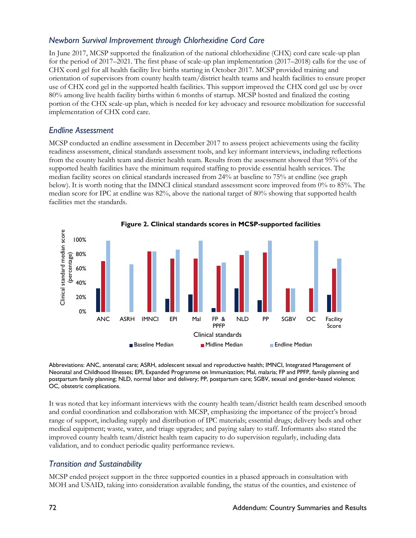#### *Newborn Survival Improvement through Chlorhexidine Cord Care*

In June 2017, MCSP supported the finalization of the national chlorhexidine (CHX) cord care scale-up plan for the period of 2017–2021. The first phase of scale-up plan implementation (2017–2018) calls for the use of CHX cord gel for all health facility live births starting in October 2017. MCSP provided training and orientation of supervisors from county health team/district health teams and health facilities to ensure proper use of CHX cord gel in the supported health facilities. This support improved the CHX cord gel use by over 80% among live health facility births within 6 months of startup. MCSP hosted and finalized the costing portion of the CHX scale-up plan, which is needed for key advocacy and resource mobilization for successful implementation of CHX cord care.

#### *Endline Assessment*

MCSP conducted an endline assessment in December 2017 to assess project achievements using the facility readiness assessment, clinical standards assessment tools, and key informant interviews, including reflections from the county health team and district health team. Results from the assessment showed that 95% of the supported health facilities have the minimum required staffing to provide essential health services. The median facility scores on clinical standards increased from 24% at baseline to 75% at endline (see graph below). It is worth noting that the IMNCI clinical standard assessment score improved from 0% to 85%. The median score for IPC at endline was 82%, above the national target of 80% showing that supported health facilities met the standards.



**Figure 2. Clinical standards scores in MCSP-supported facilities**

Abbreviations: ANC, antenatal care; ASRH, adolescent sexual and reproductive health; IMNCI, Integrated Management of Neonatal and Childhood Illnesses; EPI, Expanded Programme on Immunization; Mal, malaria; FP and PPFP, family planning and postpartum family planning; NLD, normal labor and delivery; PP, postpartum care; SGBV, sexual and gender-based violence; OC, obstetric complications.

It was noted that key informant interviews with the county health team/district health team described smooth and cordial coordination and collaboration with MCSP, emphasizing the importance of the project's broad range of support, including supply and distribution of IPC materials; essential drugs; delivery beds and other medical equipment; waste, water, and triage upgrades; and paying salary to staff. Informants also stated the improved county health team/district health team capacity to do supervision regularly, including data validation, and to conduct periodic quality performance reviews.

#### *Transition and Sustainability*

MCSP ended project support in the three supported counties in a phased approach in consultation with